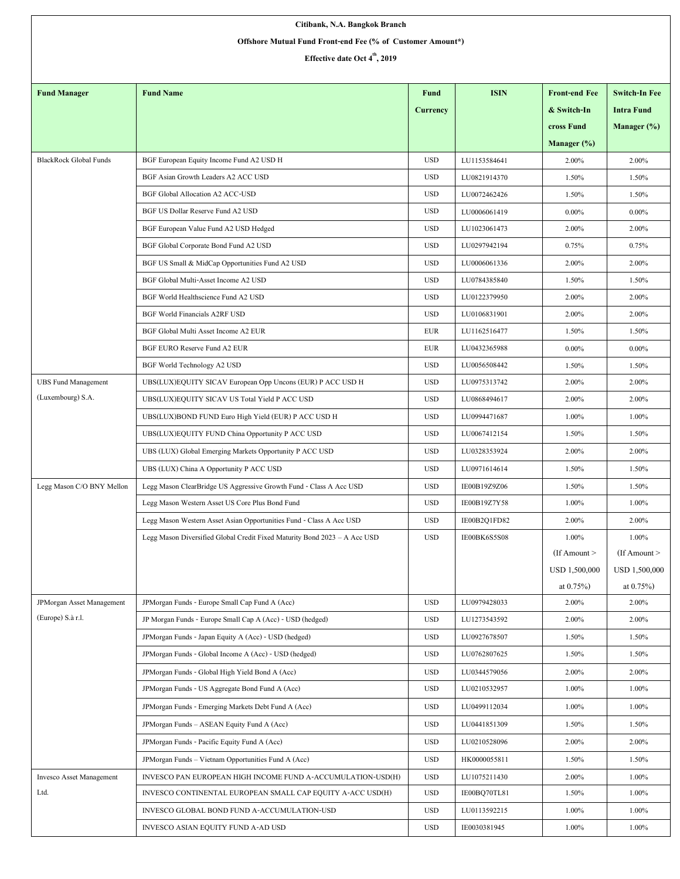| Citibank, N.A. Bangkok Branch                              |                                                                           |            |                              |                          |                         |  |  |  |  |  |
|------------------------------------------------------------|---------------------------------------------------------------------------|------------|------------------------------|--------------------------|-------------------------|--|--|--|--|--|
| Offshore Mutual Fund Front-end Fee (% of Customer Amount*) |                                                                           |            |                              |                          |                         |  |  |  |  |  |
| Effective date Oct 4 <sup>th</sup> , 2019                  |                                                                           |            |                              |                          |                         |  |  |  |  |  |
|                                                            |                                                                           |            |                              |                          |                         |  |  |  |  |  |
| <b>Fund Manager</b>                                        | <b>Fund Name</b>                                                          | Fund       | <b>ISIN</b>                  | <b>Front-end Fee</b>     | <b>Switch-In Fee</b>    |  |  |  |  |  |
|                                                            |                                                                           | Currency   |                              | & Switch-In              | <b>Intra Fund</b>       |  |  |  |  |  |
|                                                            |                                                                           |            |                              | cross Fund               | Manager $(\%)$          |  |  |  |  |  |
|                                                            |                                                                           |            |                              | Manager $(\%)$           |                         |  |  |  |  |  |
| <b>BlackRock Global Funds</b>                              | BGF European Equity Income Fund A2 USD H                                  | <b>USD</b> | LU1153584641                 | 2.00%                    | 2.00%                   |  |  |  |  |  |
|                                                            | BGF Asian Growth Leaders A2 ACC USD                                       | <b>USD</b> | LU0821914370                 | 1.50%                    | 1.50%                   |  |  |  |  |  |
|                                                            | <b>BGF Global Allocation A2 ACC-USD</b>                                   | <b>USD</b> | LU0072462426                 | 1.50%                    | 1.50%                   |  |  |  |  |  |
|                                                            | BGF US Dollar Reserve Fund A2 USD                                         | <b>USD</b> | LU0006061419                 | $0.00\%$                 | $0.00\%$                |  |  |  |  |  |
|                                                            | BGF European Value Fund A2 USD Hedged                                     | <b>USD</b> | LU1023061473                 | 2.00%                    | 2.00%                   |  |  |  |  |  |
|                                                            | BGF Global Corporate Bond Fund A2 USD                                     | <b>USD</b> | LU0297942194                 | 0.75%                    | 0.75%                   |  |  |  |  |  |
|                                                            | BGF US Small & MidCap Opportunities Fund A2 USD                           | <b>USD</b> | LU0006061336                 | 2.00%                    | 2.00%                   |  |  |  |  |  |
|                                                            | BGF Global Multi-Asset Income A2 USD                                      | <b>USD</b> | LU0784385840                 | 1.50%                    | 1.50%                   |  |  |  |  |  |
|                                                            | BGF World Healthscience Fund A2 USD                                       | <b>USD</b> | LU0122379950                 | 2.00%                    | 2.00%                   |  |  |  |  |  |
|                                                            | <b>BGF World Financials A2RF USD</b>                                      | <b>USD</b> | LU0106831901                 | 2.00%                    | 2.00%                   |  |  |  |  |  |
|                                                            | BGF Global Multi Asset Income A2 EUR                                      | <b>EUR</b> | LU1162516477                 | 1.50%                    | 1.50%                   |  |  |  |  |  |
|                                                            | BGF EURO Reserve Fund A2 EUR                                              | EUR        | LU0432365988                 | $0.00\%$                 | $0.00\%$                |  |  |  |  |  |
|                                                            | BGF World Technology A2 USD                                               | <b>USD</b> | LU0056508442                 | 1.50%                    | 1.50%                   |  |  |  |  |  |
| <b>UBS Fund Management</b>                                 | UBS(LUX)EQUITY SICAV European Opp Uncons (EUR) P ACC USD H                | <b>USD</b> | LU0975313742                 | 2.00%                    | 2.00%                   |  |  |  |  |  |
| (Luxembourg) S.A.                                          | UBS(LUX)EQUITY SICAV US Total Yield P ACC USD                             | <b>USD</b> | LU0868494617                 | 2.00%                    | 2.00%                   |  |  |  |  |  |
|                                                            | UBS(LUX)BOND FUND Euro High Yield (EUR) P ACC USD H                       | <b>USD</b> | LU0994471687                 | 1.00%                    | 1.00%                   |  |  |  |  |  |
|                                                            | UBS(LUX)EQUITY FUND China Opportunity P ACC USD                           | <b>USD</b> | LU0067412154                 | 1.50%                    | 1.50%                   |  |  |  |  |  |
|                                                            | UBS (LUX) Global Emerging Markets Opportunity P ACC USD                   | <b>USD</b> | LU0328353924                 | 2.00%                    | 2.00%                   |  |  |  |  |  |
|                                                            |                                                                           | <b>USD</b> | LU0971614614                 | 1.50%                    | 1.50%                   |  |  |  |  |  |
|                                                            | UBS (LUX) China A Opportunity P ACC USD                                   |            |                              |                          |                         |  |  |  |  |  |
| Legg Mason C/O BNY Mellon                                  | Legg Mason ClearBridge US Aggressive Growth Fund - Class A Acc USD        | <b>USD</b> | IE00B19Z9Z06<br>IE00B19Z7Y58 | 1.50%                    | 1.50%                   |  |  |  |  |  |
|                                                            | Legg Mason Western Asset US Core Plus Bond Fund                           | <b>USD</b> |                              | 1.00%                    | 1.00%                   |  |  |  |  |  |
|                                                            | Legg Mason Western Asset Asian Opportunities Fund - Class A Acc USD       | <b>USD</b> | IE00B2Q1FD82                 | 2.00%                    | 2.00%                   |  |  |  |  |  |
|                                                            | Legg Mason Diversified Global Credit Fixed Maturity Bond 2023 - A Acc USD | <b>USD</b> | IE00BK6S5S08                 | 1.00%<br>$If$ Amount $>$ | 1.00%<br>(If Amount $>$ |  |  |  |  |  |
|                                                            |                                                                           |            |                              | USD 1,500,000            | USD 1,500,000           |  |  |  |  |  |
|                                                            |                                                                           |            |                              | at $0.75%$               | at $0.75\%$ )           |  |  |  |  |  |
| JPMorgan Asset Management                                  | JPMorgan Funds - Europe Small Cap Fund A (Acc)                            | <b>USD</b> | LU0979428033                 | 2.00%                    | 2.00%                   |  |  |  |  |  |
| (Europe) S.à r.l.                                          | JP Morgan Funds - Europe Small Cap A (Acc) - USD (hedged)                 | <b>USD</b> | LU1273543592                 | 2.00%                    | 2.00%                   |  |  |  |  |  |
|                                                            | JPMorgan Funds - Japan Equity A (Acc) - USD (hedged)                      | <b>USD</b> | LU0927678507                 | 1.50%                    | 1.50%                   |  |  |  |  |  |
|                                                            | JPMorgan Funds - Global Income A (Acc) - USD (hedged)                     | <b>USD</b> | LU0762807625                 | 1.50%                    | 1.50%                   |  |  |  |  |  |
|                                                            |                                                                           |            |                              |                          |                         |  |  |  |  |  |
|                                                            | JPMorgan Funds - Global High Yield Bond A (Acc)                           | <b>USD</b> | LU0344579056                 | 2.00%                    | 2.00%                   |  |  |  |  |  |
|                                                            | JPMorgan Funds - US Aggregate Bond Fund A (Acc)                           | <b>USD</b> | LU0210532957                 | 1.00%                    | 1.00%                   |  |  |  |  |  |
|                                                            | JPMorgan Funds - Emerging Markets Debt Fund A (Acc)                       | <b>USD</b> | LU0499112034                 | 1.00%                    | 1.00%                   |  |  |  |  |  |
|                                                            | JPMorgan Funds - ASEAN Equity Fund A (Acc)                                | <b>USD</b> | LU0441851309                 | 1.50%                    | 1.50%                   |  |  |  |  |  |
|                                                            | JPMorgan Funds - Pacific Equity Fund A (Acc)                              | <b>USD</b> | LU0210528096                 | 2.00%                    | 2.00%                   |  |  |  |  |  |
|                                                            | JPMorgan Funds - Vietnam Opportunities Fund A (Acc)                       | <b>USD</b> | HK0000055811                 | 1.50%                    | 1.50%                   |  |  |  |  |  |
| Invesco Asset Management                                   | INVESCO PAN EUROPEAN HIGH INCOME FUND A-ACCUMULATION-USD(H)               | <b>USD</b> | LU1075211430                 | 2.00%                    | 1.00%                   |  |  |  |  |  |
| Ltd.                                                       | INVESCO CONTINENTAL EUROPEAN SMALL CAP EQUITY A-ACC USD(H)                | <b>USD</b> | IE00BQ70TL81                 | 1.50%                    | 1.00%                   |  |  |  |  |  |
|                                                            | INVESCO GLOBAL BOND FUND A-ACCUMULATION-USD                               | <b>USD</b> | LU0113592215                 | 1.00%                    | 1.00%                   |  |  |  |  |  |
|                                                            | INVESCO ASIAN EQUITY FUND A-AD USD                                        | <b>USD</b> | IE0030381945                 | 1.00%                    | 1.00%                   |  |  |  |  |  |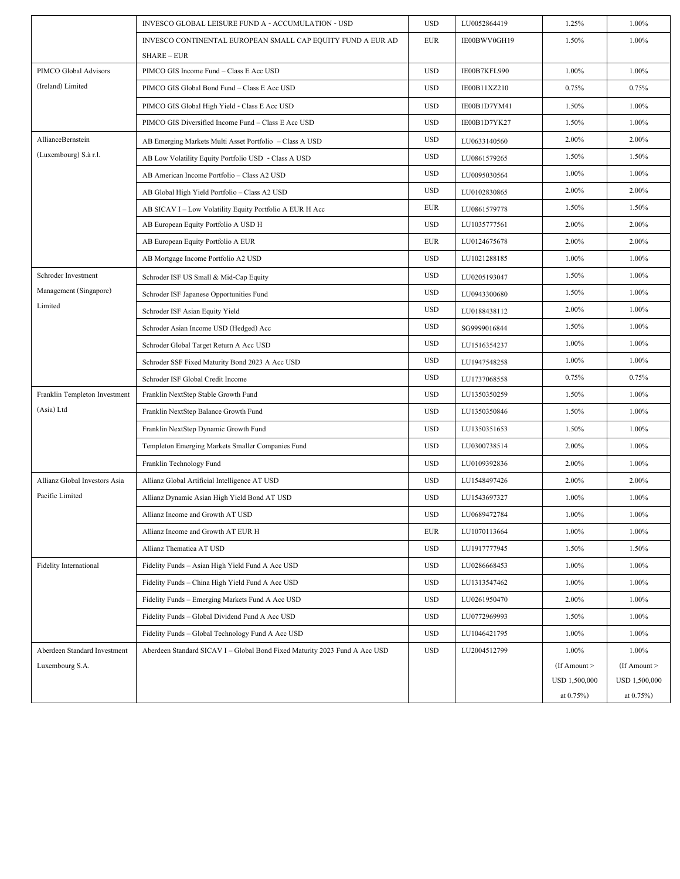|                               | INVESCO GLOBAL LEISURE FUND A - ACCUMULATION - USD                         | <b>USD</b> | LU0052864419 | 1.25%          | 1.00%             |
|-------------------------------|----------------------------------------------------------------------------|------------|--------------|----------------|-------------------|
|                               | INVESCO CONTINENTAL EUROPEAN SMALL CAP EQUITY FUND A EUR AD                | <b>EUR</b> | IE00BWV0GH19 | 1.50%          | 1.00%             |
|                               | <b>SHARE - EUR</b>                                                         |            |              |                |                   |
| PIMCO Global Advisors         | PIMCO GIS Income Fund - Class E Acc USD                                    | <b>USD</b> | IE00B7KFL990 | 1.00%          | 1.00%             |
| (Ireland) Limited             | PIMCO GIS Global Bond Fund - Class E Acc USD                               | <b>USD</b> | IE00B11XZ210 | 0.75%          | 0.75%             |
|                               | PIMCO GIS Global High Yield - Class E Acc USD                              | <b>USD</b> | IE00B1D7YM41 | 1.50%          | 1.00%             |
|                               | PIMCO GIS Diversified Income Fund - Class E Acc USD                        | <b>USD</b> | IE00B1D7YK27 | 1.50%          | 1.00%             |
| AllianceBernstein             | AB Emerging Markets Multi Asset Portfolio - Class A USD                    | <b>USD</b> | LU0633140560 | 2.00%          | 2.00%             |
| (Luxembourg) S.à r.l.         | AB Low Volatility Equity Portfolio USD - Class A USD                       | <b>USD</b> | LU0861579265 | 1.50%          | 1.50%             |
|                               | AB American Income Portfolio - Class A2 USD                                | <b>USD</b> | LU0095030564 | 1.00%          | 1.00%             |
|                               | AB Global High Yield Portfolio - Class A2 USD                              | <b>USD</b> | LU0102830865 | 2.00%          | 2.00%             |
|                               | AB SICAV I - Low Volatility Equity Portfolio A EUR H Acc                   | EUR        | LU0861579778 | 1.50%          | 1.50%             |
|                               | AB European Equity Portfolio A USD H                                       | <b>USD</b> | LU1035777561 | 2.00%          | 2.00%             |
|                               | AB European Equity Portfolio A EUR                                         | <b>EUR</b> | LU0124675678 | 2.00%          | 2.00%             |
|                               | AB Mortgage Income Portfolio A2 USD                                        | <b>USD</b> | LU1021288185 | 1.00%          | 1.00%             |
| Schroder Investment           | Schroder ISF US Small & Mid-Cap Equity                                     | <b>USD</b> | LU0205193047 | 1.50%          | 1.00%             |
| Management (Singapore)        | Schroder ISF Japanese Opportunities Fund                                   | <b>USD</b> | LU0943300680 | 1.50%          | 1.00%             |
| Limited                       | Schroder ISF Asian Equity Yield                                            | <b>USD</b> | LU0188438112 | 2.00%          | 1.00%             |
|                               | Schroder Asian Income USD (Hedged) Acc                                     | <b>USD</b> | SG9999016844 | 1.50%          | 1.00%             |
|                               | Schroder Global Target Return A Acc USD                                    | <b>USD</b> | LU1516354237 | 1.00%          | 1.00%             |
|                               | Schroder SSF Fixed Maturity Bond 2023 A Acc USD                            | <b>USD</b> | LU1947548258 | 1.00%          | 1.00%             |
|                               | Schroder ISF Global Credit Income                                          | <b>USD</b> | LU1737068558 | 0.75%          | 0.75%             |
| Franklin Templeton Investment | Franklin NextStep Stable Growth Fund                                       | <b>USD</b> | LU1350350259 | 1.50%          | 1.00%             |
| (Asia) Ltd                    | Franklin NextStep Balance Growth Fund                                      | <b>USD</b> | LU1350350846 | 1.50%          | 1.00%             |
|                               | Franklin NextStep Dynamic Growth Fund                                      | <b>USD</b> | LU1350351653 | 1.50%          | 1.00%             |
|                               | Templeton Emerging Markets Smaller Companies Fund                          | <b>USD</b> | LU0300738514 | 2.00%          | 1.00%             |
|                               | Franklin Technology Fund                                                   | <b>USD</b> | LU0109392836 | 2.00%          | 1.00%             |
| Allianz Global Investors Asia | Allianz Global Artificial Intelligence AT USD                              | <b>USD</b> | LU1548497426 | 2.00%          | 2.00%             |
| Pacific Limited               | Allianz Dynamic Asian High Yield Bond AT USD                               | <b>USD</b> | LU1543697327 | 1.00%          | 1.00%             |
|                               | Allianz Income and Growth AT USD                                           | <b>USD</b> | LU0689472784 | 1.00%          | 1.00%             |
|                               | Allianz Income and Growth AT EUR H                                         | <b>EUR</b> | LU1070113664 | 1.00%          | 1.00%             |
|                               | Allianz Thematica AT USD                                                   | <b>USD</b> | LU1917777945 | 1.50%          | 1.50%             |
| Fidelity International        | Fidelity Funds - Asian High Yield Fund A Acc USD                           | <b>USD</b> | LU0286668453 | 1.00%          | 1.00%             |
|                               | Fidelity Funds - China High Yield Fund A Acc USD                           | <b>USD</b> | LU1313547462 | 1.00%          | 1.00%             |
|                               | Fidelity Funds - Emerging Markets Fund A Acc USD                           | <b>USD</b> | LU0261950470 | 2.00%          | 1.00%             |
|                               | Fidelity Funds - Global Dividend Fund A Acc USD                            | <b>USD</b> | LU0772969993 | 1.50%          | 1.00%             |
|                               | Fidelity Funds - Global Technology Fund A Acc USD                          | <b>USD</b> | LU1046421795 | 1.00%          | 1.00%             |
| Aberdeen Standard Investment  | Aberdeen Standard SICAV I - Global Bond Fixed Maturity 2023 Fund A Acc USD | <b>USD</b> | LU2004512799 | 1.00%          | $1.00\%$          |
| Luxembourg S.A.               |                                                                            |            |              | (If Amount $>$ | $($ If Amount $>$ |
|                               |                                                                            |            |              | USD 1,500,000  | USD 1,500,000     |
|                               |                                                                            |            |              | at $0.75%$     | at $0.75\%$ )     |